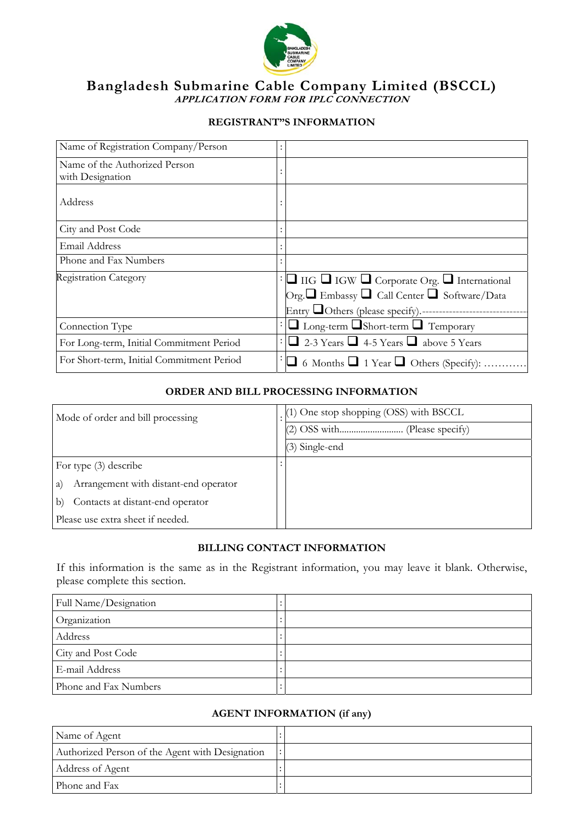

# **Bangladesh Submarine Cable Company Limited (BSCCL) APPLICATION FORM FOR IPLC CONNECTION**

# **REGISTRANT"S INFORMATION**

| Name of Registration Company/Person               |                                                                  |
|---------------------------------------------------|------------------------------------------------------------------|
| Name of the Authorized Person<br>with Designation |                                                                  |
| Address                                           |                                                                  |
| City and Post Code                                |                                                                  |
| Email Address                                     |                                                                  |
| Phone and Fax Numbers                             |                                                                  |
| <b>Registration Category</b>                      | $\Box$ IIG $\Box$ IGW $\Box$ Corporate Org. $\Box$ International |
|                                                   | Org. Embassy <b>D</b> Call Center <b>D</b> Software/Data         |
|                                                   |                                                                  |
| Connection Type                                   | $\Box$ Long-term $\Box$ Short-term $\Box$ Temporary              |
| For Long-term, Initial Commitment Period          | 2-3 Years $\Box$ 4-5 Years $\Box$ above 5 Years                  |
| For Short-term, Initial Commitment Period         | $\Box$ 6 Months $\Box$ 1 Year $\Box$ Others (Specify):           |

#### **ORDER AND BILL PROCESSING INFORMATION**

| Mode of order and bill processing           |  | (1) One stop shopping (OSS) with BSCCL |  |
|---------------------------------------------|--|----------------------------------------|--|
|                                             |  |                                        |  |
|                                             |  | $(3)$ Single-end                       |  |
| For type $(3)$ describe                     |  |                                        |  |
| Arrangement with distant-end operator<br>a) |  |                                        |  |
| Contacts at distant-end operator<br>b)      |  |                                        |  |
| Please use extra sheet if needed.           |  |                                        |  |

# **BILLING CONTACT INFORMATION**

If this information is the same as in the Registrant information, you may leave it blank. Otherwise, please complete this section.

| Full Name/Designation |  |
|-----------------------|--|
| Organization          |  |
| Address               |  |
| City and Post Code    |  |
| E-mail Address        |  |
| Phone and Fax Numbers |  |

# **AGENT INFORMATION (if any)**

| Name of Agent                                   |  |
|-------------------------------------------------|--|
| Authorized Person of the Agent with Designation |  |
| Address of Agent                                |  |
| Phone and Fax                                   |  |